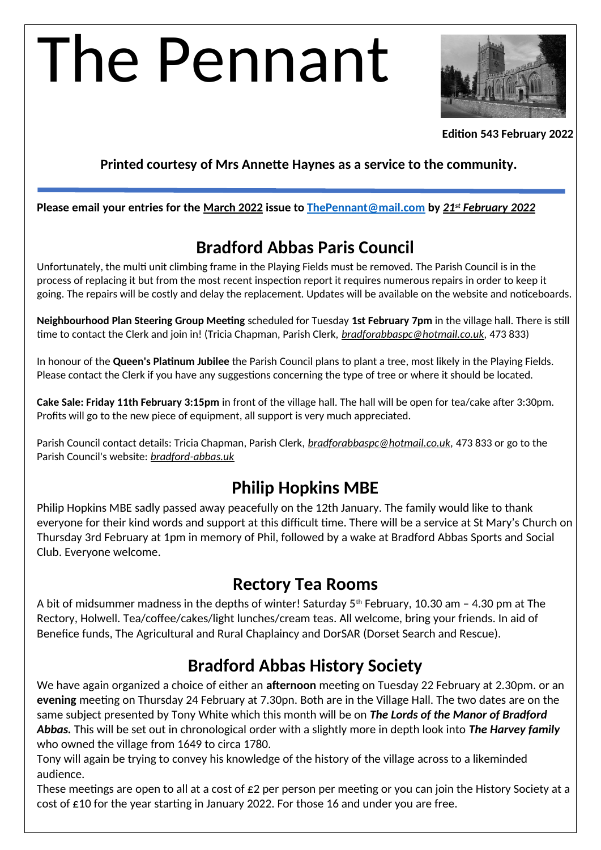# The Pennant



**Edition 543 February 2022**

## **Printed courtesy of Mrs Annette Haynes as a service to the community.**

**Please email your entries for the March 2022 issue to [ThePennant@mail.com](mailto:ThePennant@mail.com) by** *21st February 2022*

# **Bradford Abbas Paris Council**

Unfortunately, the multi unit climbing frame in the Playing Fields must be removed. The Parish Council is in the process of replacing it but from the most recent inspection report it requires numerous repairs in order to keep it going. The repairs will be costly and delay the replacement. Updates will be available on the website and noticeboards.

**Neighbourhood Plan Steering Group Meeting** scheduled for Tuesday **1st February 7pm** in the village hall. There is still time to contact the Clerk and join in! (Tricia Chapman, Parish Clerk, *[bradforabbaspc@hotmail.co.uk,](mailto:bradforabbaspc@hotmail.co.uk)* 473 833)

In honour of the **Queen's Platinum Jubilee** the Parish Council plans to plant a tree, most likely in the Playing Fields. Please contact the Clerk if you have any suggestions concerning the type of tree or where it should be located.

**Cake Sale: Friday 11th February 3:15pm** in front of the village hall. The hall will be open for tea/cake after 3:30pm. Profits will go to the new piece of equipment, all support is very much appreciated.

Parish Council contact details: Tricia Chapman, Parish Clerk, *[bradforabbaspc@hotmail.co.uk](mailto:bradforabbaspc@hotmail.co.uk),* 473 833 or go to the Parish Council's website: *[bradford-abbas.uk](http://bradford-abbas.uk/)*

# **Philip Hopkins MBE**

Philip Hopkins MBE sadly passed away peacefully on the 12th January. The family would like to thank everyone for their kind words and support at this difficult time. There will be a service at St Mary's Church on Thursday 3rd February at 1pm in memory of Phil, followed by a wake at Bradford Abbas Sports and Social Club. Everyone welcome.

## **Rectory Tea Rooms**

A bit of midsummer madness in the depths of winter! Saturday 5th February, 10.30 am – 4.30 pm at The Rectory, Holwell. Tea/coffee/cakes/light lunches/cream teas. All welcome, bring your friends. In aid of Benefice funds, The Agricultural and Rural Chaplaincy and DorSAR (Dorset Search and Rescue).

# **Bradford Abbas History Society**

We have again organized a choice of either an **afternoon** meeting on Tuesday 22 February at 2.30pm. or an **evening** meeting on Thursday 24 February at 7.30pn. Both are in the Village Hall. The two dates are on the same subject presented by Tony White which this month will be on *The Lords of the Manor of Bradford Abbas.* This will be set out in chronological order with a slightly more in depth look into *The Harvey family* who owned the village from 1649 to circa 1780.

Tony will again be trying to convey his knowledge of the history of the village across to a likeminded audience.

These meetings are open to all at a cost of £2 per person per meeting or you can join the History Society at a cost of  $\epsilon$ 10 for the year starting in January 2022. For those 16 and under you are free.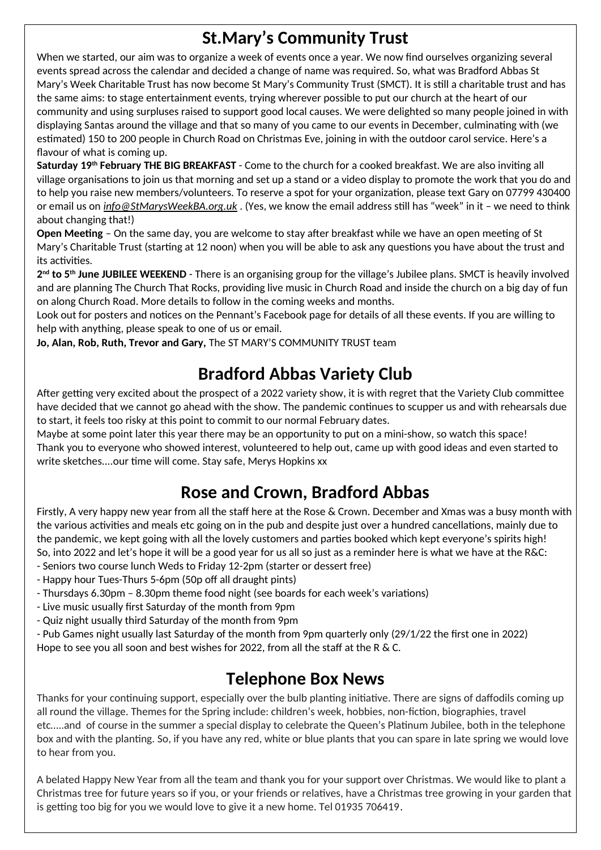# **St.Mary's Community Trust**

When we started, our aim was to organize a week of events once a year. We now find ourselves organizing several events spread across the calendar and decided a change of name was required. So, what was Bradford Abbas St Mary's Week Charitable Trust has now become St Mary's Community Trust (SMCT). It is still a charitable trust and has the same aims: to stage entertainment events, trying wherever possible to put our church at the heart of our community and using surpluses raised to support good local causes. We were delighted so many people joined in with displaying Santas around the village and that so many of you came to our events in December, culminating with (we estimated) 150 to 200 people in Church Road on Christmas Eve, joining in with the outdoor carol service. Here's a flavour of what is coming up.

**Saturday 19th February THE BIG BREAKFAST** - Come to the church for a cooked breakfast. We are also inviting all village organisations to join us that morning and set up a stand or a video display to promote the work that you do and to help you raise new members/volunteers. To reserve a spot for your organization, please text Gary on 07799 430400 or email us on *[info@StMarysWeekBA.org.uk](mailto:info@StMarysWeekBA.org.uk)* . (Yes, we know the email address still has "week" in it – we need to think about changing that!)

**Open Meeting** – On the same day, you are welcome to stay after breakfast while we have an open meeting of St Mary's Charitable Trust (starting at 12 noon) when you will be able to ask any questions you have about the trust and its activities.

**2 nd to 5th June JUBILEE WEEKEND** - There is an organising group for the village's Jubilee plans. SMCT is heavily involved and are planning The Church That Rocks, providing live music in Church Road and inside the church on a big day of fun on along Church Road. More details to follow in the coming weeks and months.

Look out for posters and notices on the Pennant's Facebook page for details of all these events. If you are willing to help with anything, please speak to one of us or email.

**Jo, Alan, Rob, Ruth, Trevor and Gary,** The ST MARY'S COMMUNITY TRUST team

# **Bradford Abbas Variety Club**

After getting very excited about the prospect of a 2022 variety show, it is with regret that the Variety Club committee have decided that we cannot go ahead with the show. The pandemic continues to scupper us and with rehearsals due to start, it feels too risky at this point to commit to our normal February dates.

Maybe at some point later this year there may be an opportunity to put on a mini-show, so watch this space! Thank you to everyone who showed interest, volunteered to help out, came up with good ideas and even started to write sketches....our time will come. Stay safe, Merys Hopkins xx

# **Rose and Crown, Bradford Abbas**

Firstly, A very happy new year from all the staff here at the Rose & Crown. December and Xmas was a busy month with the various activities and meals etc going on in the pub and despite just over a hundred cancellations, mainly due to the pandemic, we kept going with all the lovely customers and parties booked which kept everyone's spirits high! So, into 2022 and let's hope it will be a good year for us all so just as a reminder here is what we have at the R&C: - Seniors two course lunch Weds to Friday 12-2pm (starter or dessert free)

- Happy hour Tues-Thurs 5-6pm (50p off all draught pints)
- Thursdays 6.30pm 8.30pm theme food night (see boards for each week's variations)
- Live music usually first Saturday of the month from 9pm
- Quiz night usually third Saturday of the month from 9pm
- Pub Games night usually last Saturday of the month from 9pm quarterly only (29/1/22 the first one in 2022)

Hope to see you all soon and best wishes for 2022, from all the staff at the R & C.

# **Telephone Box News**

Thanks for your continuing support, especially over the bulb planting initiative. There are signs of daffodils coming up all round the village. Themes for the Spring include: children's week, hobbies, non-fiction, biographies, travel etc…..and of course in the summer a special display to celebrate the Queen's Platinum Jubilee, both in the telephone box and with the planting. So, if you have any red, white or blue plants that you can spare in late spring we would love to hear from you.

A belated Happy New Year from all the team and thank you for your support over Christmas. We would like to plant a Christmas tree for future years so if you, or your friends or relatives, have a Christmas tree growing in your garden that is getting too big for you we would love to give it a new home. Tel 01935 706419.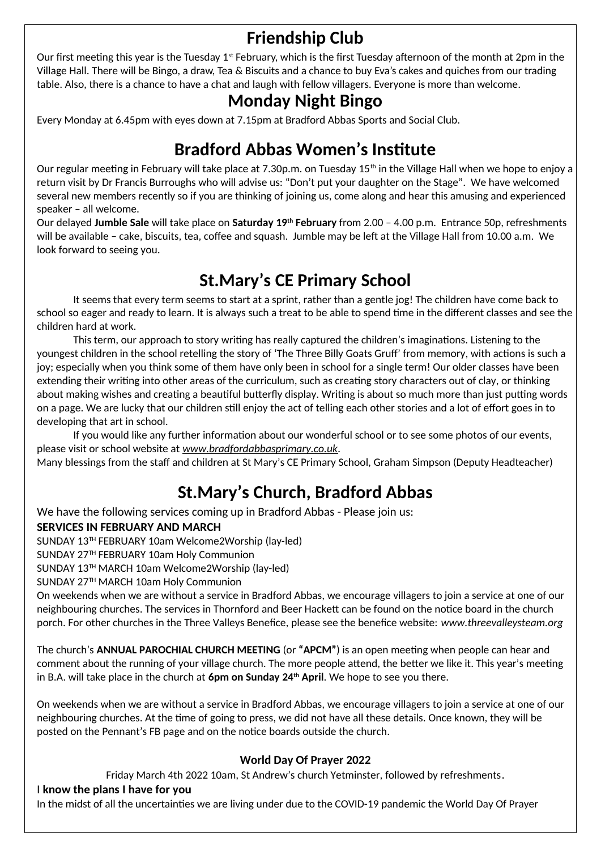# **Friendship Club**

Our first meeting this year is the Tuesday  $1<sup>st</sup>$  February, which is the first Tuesday afternoon of the month at 2pm in the Village Hall. There will be Bingo, a draw, Tea & Biscuits and a chance to buy Eva's cakes and quiches from our trading table. Also, there is a chance to have a chat and laugh with fellow villagers. Everyone is more than welcome.

## **Monday Night Bingo**

Every Monday at 6.45pm with eyes down at 7.15pm at Bradford Abbas Sports and Social Club.

# **Bradford Abbas Women's Institute**

Our regular meeting in February will take place at 7.30p.m. on Tuesday 15<sup>th</sup> in the Village Hall when we hope to enjoy a return visit by Dr Francis Burroughs who will advise us: "Don't put your daughter on the Stage". We have welcomed several new members recently so if you are thinking of joining us, come along and hear this amusing and experienced speaker – all welcome.

Our delayed **Jumble Sale** will take place on **Saturday 19th February** from 2.00 – 4.00 p.m. Entrance 50p, refreshments will be available – cake, biscuits, tea, coffee and squash. Jumble may be left at the Village Hall from 10.00 a.m. We look forward to seeing you.

# **St.Mary's CE Primary School**

It seems that every term seems to start at a sprint, rather than a gentle jog! The children have come back to school so eager and ready to learn. It is always such a treat to be able to spend time in the different classes and see the children hard at work.

This term, our approach to story writing has really captured the children's imaginations. Listening to the youngest children in the school retelling the story of 'The Three Billy Goats Gruff' from memory, with actions is such a joy; especially when you think some of them have only been in school for a single term! Our older classes have been extending their writing into other areas of the curriculum, such as creating story characters out of clay, or thinking about making wishes and creating a beautiful butterfly display. Writing is about so much more than just putting words on a page. We are lucky that our children still enjoy the act of telling each other stories and a lot of effort goes in to developing that art in school.

If you would like any further information about our wonderful school or to see some photos of our events, please visit or school website at *[www.bradfordabbasprimary.co.uk.](http://www.bradfordabbasprimary.co.uk/)*

Many blessings from the staff and children at St Mary's CE Primary School, Graham Simpson (Deputy Headteacher)

# **St.Mary's Church, Bradford Abbas**

We have the following services coming up in Bradford Abbas - Please join us:

#### **SERVICES IN FEBRUARY AND MARCH**

SUNDAY 13TH FEBRUARY 10am Welcome2Worship (lay-led)

SUNDAY 27TH FEBRUARY 10am Holy Communion

SUNDAY 13TH MARCH 10am Welcome2Worship (lay-led)

SUNDAY 27TH MARCH 10am Holy Communion

On weekends when we are without a service in Bradford Abbas, we encourage villagers to join a service at one of our neighbouring churches. The services in Thornford and Beer Hackett can be found on the notice board in the church porch. For other churches in the Three Valleys Benefice, please see the benefice website: *www.threevalleysteam.org*

The church's **ANNUAL PAROCHIAL CHURCH MEETING** (or **"APCM"**) is an open meeting when people can hear and comment about the running of your village church. The more people attend, the better we like it. This year's meeting in B.A. will take place in the church at **6pm on Sunday 24th April**. We hope to see you there.

On weekends when we are without a service in Bradford Abbas, we encourage villagers to join a service at one of our neighbouring churches. At the time of going to press, we did not have all these details. Once known, they will be posted on the Pennant's FB page and on the notice boards outside the church.

### **World Day Of Prayer 2022**

Friday March 4th 2022 10am, St Andrew's church Yetminster, followed by refreshments.

#### I **know the plans I have for you**

In the midst of all the uncertainties we are living under due to the COVID-19 pandemic the World Day Of Prayer